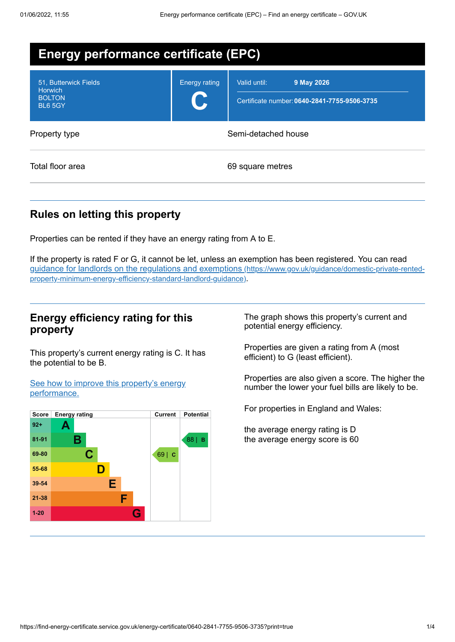| <b>Energy performance certificate (EPC)</b>                                |                      |                                                                            |
|----------------------------------------------------------------------------|----------------------|----------------------------------------------------------------------------|
| 51, Butterwick Fields<br><b>Horwich</b><br><b>BOLTON</b><br><b>BL6 5GY</b> | <b>Energy rating</b> | Valid until:<br>9 May 2026<br>Certificate number: 0640-2841-7755-9506-3735 |
| Property type                                                              | Semi-detached house  |                                                                            |
| Total floor area                                                           |                      | 69 square metres                                                           |

# **Rules on letting this property**

Properties can be rented if they have an energy rating from A to E.

If the property is rated F or G, it cannot be let, unless an exemption has been registered. You can read guidance for landlords on the regulations and exemptions (https://www.gov.uk/guidance/domestic-private-rented[property-minimum-energy-efficiency-standard-landlord-guidance\)](https://www.gov.uk/guidance/domestic-private-rented-property-minimum-energy-efficiency-standard-landlord-guidance).

## **Energy efficiency rating for this property**

This property's current energy rating is C. It has the potential to be B.

See how to improve this property's energy [performance.](#page-2-0)



The graph shows this property's current and potential energy efficiency.

Properties are given a rating from A (most efficient) to G (least efficient).

Properties are also given a score. The higher the number the lower your fuel bills are likely to be.

For properties in England and Wales:

the average energy rating is D the average energy score is 60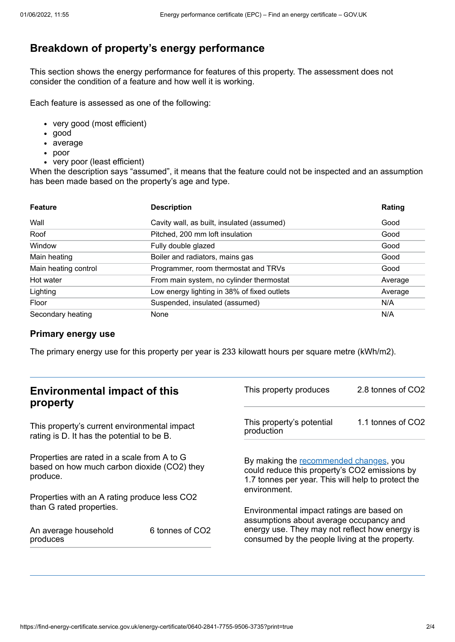# **Breakdown of property's energy performance**

This section shows the energy performance for features of this property. The assessment does not consider the condition of a feature and how well it is working.

Each feature is assessed as one of the following:

- very good (most efficient)
- good
- average
- poor
- very poor (least efficient)

When the description says "assumed", it means that the feature could not be inspected and an assumption has been made based on the property's age and type.

| <b>Feature</b>       | <b>Description</b>                          | Rating  |
|----------------------|---------------------------------------------|---------|
| Wall                 | Cavity wall, as built, insulated (assumed)  | Good    |
| Roof                 | Pitched, 200 mm loft insulation             | Good    |
| Window               | Fully double glazed                         | Good    |
| Main heating         | Boiler and radiators, mains gas             | Good    |
| Main heating control | Programmer, room thermostat and TRVs        | Good    |
| Hot water            | From main system, no cylinder thermostat    | Average |
| Lighting             | Low energy lighting in 38% of fixed outlets | Average |
| Floor                | Suspended, insulated (assumed)              | N/A     |
| Secondary heating    | None                                        | N/A     |

### **Primary energy use**

The primary energy use for this property per year is 233 kilowatt hours per square metre (kWh/m2).

| <b>Environmental impact of this</b><br>property                                                        |                 | This property produces                                                                                                                                        | 2.8 tonnes of CO2 |
|--------------------------------------------------------------------------------------------------------|-----------------|---------------------------------------------------------------------------------------------------------------------------------------------------------------|-------------------|
| This property's current environmental impact<br>rating is D. It has the potential to be B.             |                 | This property's potential<br>production                                                                                                                       | 1.1 tonnes of CO2 |
| Properties are rated in a scale from A to G<br>based on how much carbon dioxide (CO2) they<br>produce. |                 | By making the recommended changes, you<br>could reduce this property's CO2 emissions by<br>1.7 tonnes per year. This will help to protect the<br>environment. |                   |
| Properties with an A rating produce less CO2                                                           |                 |                                                                                                                                                               |                   |
| than G rated properties.                                                                               |                 | Environmental impact ratings are based on<br>assumptions about average occupancy and                                                                          |                   |
| An average household<br>produces                                                                       | 6 tonnes of CO2 | energy use. They may not reflect how energy is<br>consumed by the people living at the property.                                                              |                   |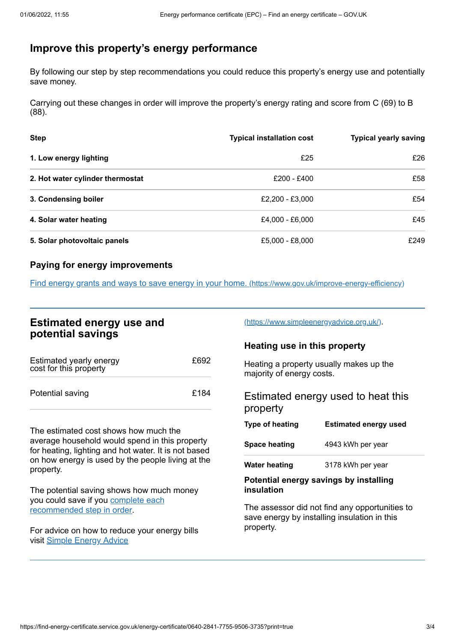# <span id="page-2-0"></span>**Improve this property's energy performance**

By following our step by step recommendations you could reduce this property's energy use and potentially save money.

Carrying out these changes in order will improve the property's energy rating and score from C (69) to B (88).

| <b>Step</b>                      | <b>Typical installation cost</b> | <b>Typical yearly saving</b> |
|----------------------------------|----------------------------------|------------------------------|
| 1. Low energy lighting           | £25                              | £26                          |
| 2. Hot water cylinder thermostat | £200 - £400                      | £58                          |
| 3. Condensing boiler             | £2,200 - £3,000                  | £54                          |
| 4. Solar water heating           | £4,000 - £6,000                  | £45                          |
| 5. Solar photovoltaic panels     | £5,000 - £8,000                  | £249                         |

### **Paying for energy improvements**

Find energy grants and ways to save energy in your home. [\(https://www.gov.uk/improve-energy-efficiency\)](https://www.gov.uk/improve-energy-efficiency)

## **Estimated energy use and potential savings**

| Estimated yearly energy<br>cost for this property | £692 |
|---------------------------------------------------|------|
| Potential saving                                  | £184 |

The estimated cost shows how much the average household would spend in this property for heating, lighting and hot water. It is not based on how energy is used by the people living at the property.

The potential saving shows how much money you could save if you complete each [recommended](#page-2-0) step in order.

For advice on how to reduce your energy bills visit Simple [Energy](https://www.simpleenergyadvice.org.uk/) Advice

[\(https://www.simpleenergyadvice.org.uk/\)](https://www.simpleenergyadvice.org.uk/).

## **Heating use in this property**

Heating a property usually makes up the majority of energy costs.

Estimated energy used to heat this property

| Type of heating      | <b>Estimated energy used</b> |
|----------------------|------------------------------|
| <b>Space heating</b> | 4943 kWh per year            |
| <b>Water heating</b> | 3178 kWh per year            |

#### **Potential energy savings by installing insulation**

The assessor did not find any opportunities to save energy by installing insulation in this property.